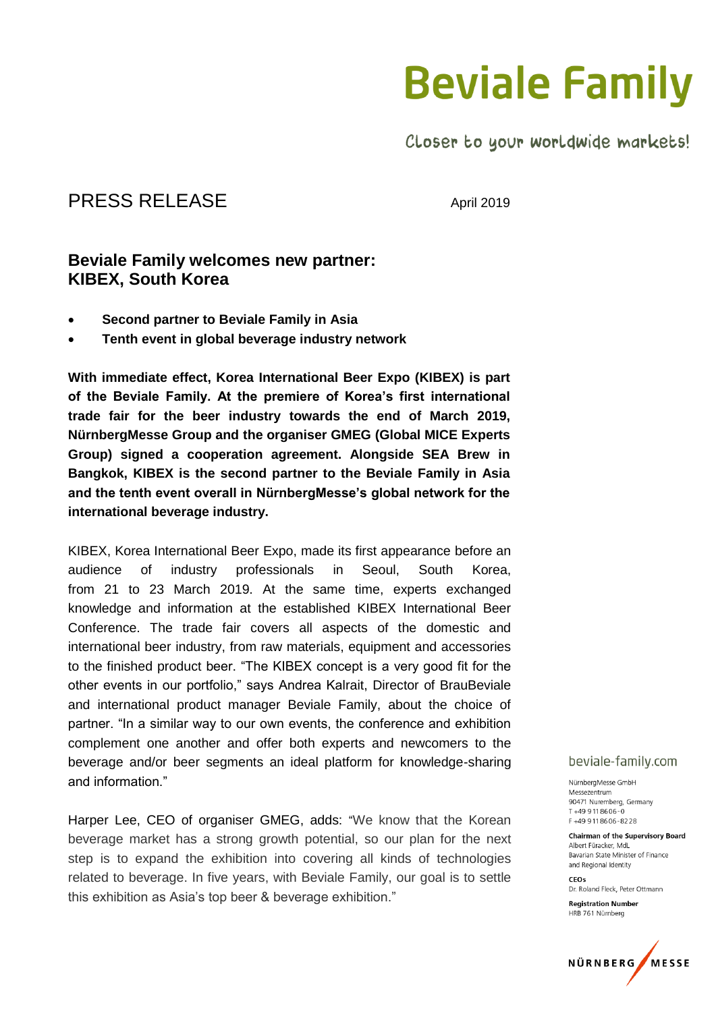### **Beviale Family**

Closer to your worldwide markets!

### PRESS RELEASE April 2019

#### **Beviale Family welcomes new partner: KIBEX, South Korea**

- **Second partner to Beviale Family in Asia**
- **Tenth event in global beverage industry network**

**With immediate effect, Korea International Beer Expo (KIBEX) is part of the Beviale Family. At the premiere of Korea's first international trade fair for the beer industry towards the end of March 2019, NürnbergMesse Group and the organiser GMEG (Global MICE Experts Group) signed a cooperation agreement. Alongside SEA Brew in Bangkok, KIBEX is the second partner to the Beviale Family in Asia and the tenth event overall in NürnbergMesse's global network for the international beverage industry.** 

KIBEX, Korea International Beer Expo, made its first appearance before an audience of industry professionals in Seoul, South Korea, from 21 to 23 March 2019. At the same time, experts exchanged knowledge and information at the established KIBEX International Beer Conference. The trade fair covers all aspects of the domestic and international beer industry, from raw materials, equipment and accessories to the finished product beer. "The KIBEX concept is a very good fit for the other events in our portfolio," says Andrea Kalrait, Director of BrauBeviale and international product manager Beviale Family, about the choice of partner. "In a similar way to our own events, the conference and exhibition complement one another and offer both experts and newcomers to the beverage and/or beer segments an ideal platform for knowledge-sharing and information."

Harper Lee, CEO of organiser GMEG, adds: "We know that the Korean beverage market has a strong growth potential, so our plan for the next step is to expand the exhibition into covering all kinds of technologies related to beverage. In five years, with Beviale Family, our goal is to settle this exhibition as Asia's top beer & beverage exhibition."

#### beviale-family.com

NürnbergMesse GmbH Messezentrum 90471 Nuremberg, Germany T+49 9 11 86 06 - 0 F+499118606-8228

**Chairman of the Supervisory Board** Albert Füracker, MdL Bavarian State Minister of Finance and Regional Identity

CEOS Dr. Roland Fleck, Peter Ottmann

**Registration Number** HRB 761 Nürnberg

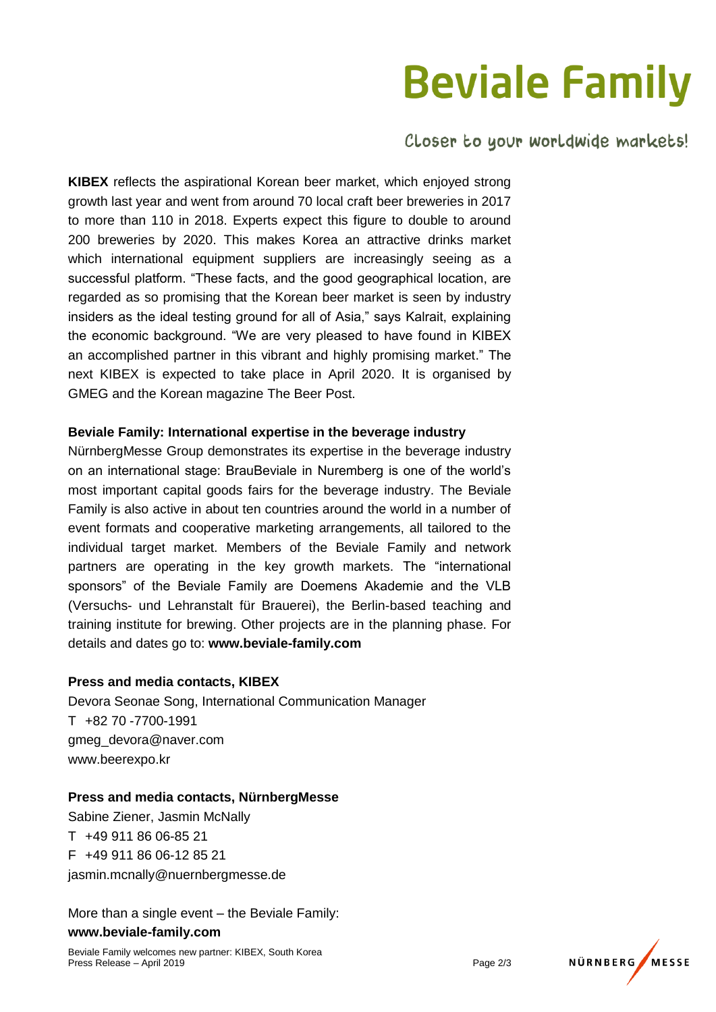# **Beviale Family**

Closer to your worldwide markets!

**KIBEX** reflects the aspirational Korean beer market, which enjoyed strong growth last year and went from around 70 local craft beer breweries in 2017 to more than 110 in 2018. Experts expect this figure to double to around 200 breweries by 2020. This makes Korea an attractive drinks market which international equipment suppliers are increasingly seeing as a successful platform. "These facts, and the good geographical location, are regarded as so promising that the Korean beer market is seen by industry insiders as the ideal testing ground for all of Asia," says Kalrait, explaining the economic background. "We are very pleased to have found in KIBEX an accomplished partner in this vibrant and highly promising market." The next KIBEX is expected to take place in April 2020. It is organised by GMEG and the Korean magazine The Beer Post.

#### **Beviale Family: International expertise in the beverage industry**

NürnbergMesse Group demonstrates its expertise in the beverage industry on an international stage: BrauBeviale in Nuremberg is one of the world's most important capital goods fairs for the beverage industry. The Beviale Family is also active in about ten countries around the world in a number of event formats and cooperative marketing arrangements, all tailored to the individual target market. Members of the Beviale Family and network partners are operating in the key growth markets. The "international sponsors" of the Beviale Family are Doemens Akademie and the VLB (Versuchs- und Lehranstalt für Brauerei), the Berlin-based teaching and training institute for brewing. Other projects are in the planning phase. For details and dates go to: **www.beviale-family.com**

#### **Press and media contacts, KIBEX**

Devora Seonae Song, International Communication Manager T +82 70 -7700-1991 gmeg\_devora@naver.com www.beerexpo.kr

#### **Press and media contacts, NürnbergMesse**

Sabine Ziener, Jasmin McNally T +49 911 86 06-85 21 F +49 911 86 06-12 85 21 jasmin.mcnally@nuernbergmesse.de

### More than a single event – the Beviale Family: **[www.beviale-family.com](file://///wst-s-dc01/group/WordshopPlus/NÃ¼rnbergMesse/63264/www.beviale-family.com)**

Beviale Family welcomes new partner: KIBEX, South Korea Press Release – April 2019 Page 2/3